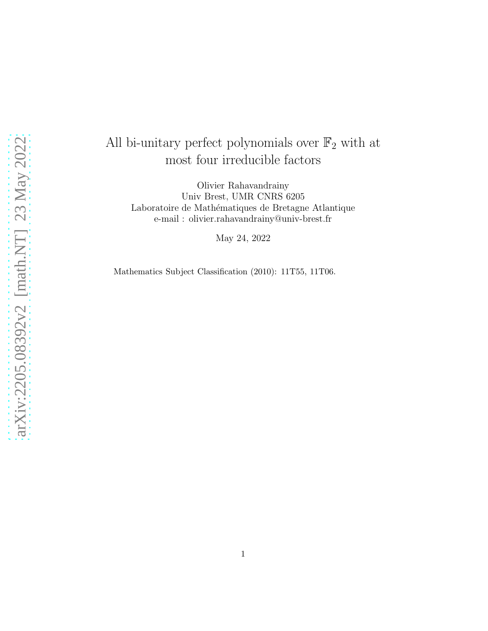# All bi-unitary perfect polynomials over  $\mathbb{F}_2$  with at most four irreducible factors

Olivier Rahavandrainy Univ Brest, UMR CNRS 6205 Laboratoire de Mathématiques de Bretagne Atlantique e-mail : olivier.rahavandrainy@univ-brest.fr

May 24, 2022

Mathematics Subject Classification (2010): 11T55, 11T06.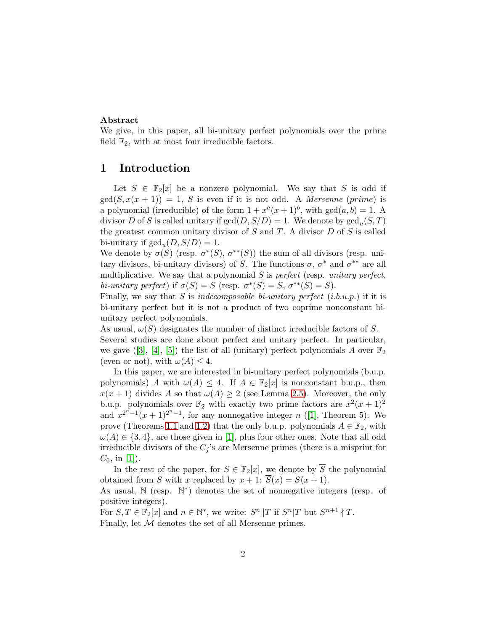## Abstract

We give, in this paper, all bi-unitary perfect polynomials over the prime field  $\mathbb{F}_2$ , with at most four irreducible factors.

# 1 Introduction

Let  $S \in \mathbb{F}_2[x]$  be a nonzero polynomial. We say that S is odd if  $gcd(S, x(x + 1)) = 1$ , S is even if it is not odd. A *Mersenne* (prime) is a polynomial (irreducible) of the form  $1 + x^a(x+1)^b$ , with  $gcd(a, b) = 1$ . A divisor D of S is called unitary if  $gcd(D, S/D) = 1$ . We denote by  $gcd_u(S, T)$ the greatest common unitary divisor of  $S$  and  $T$ . A divisor  $D$  of  $S$  is called bi-unitary if  $gcd_u(D, S/D) = 1$ .

We denote by  $\sigma(S)$  (resp.  $\sigma^*(S)$ ,  $\sigma^{**}(S)$ ) the sum of all divisors (resp. unitary divisors, bi-unitary divisors) of S. The functions  $\sigma$ ,  $\sigma^*$  and  $\sigma^{**}$  are all multiplicative. We say that a polynomial S is *perfect* (resp. *unitary perfect*, *bi-unitary perfect*) if  $\sigma(S) = S$  (resp.  $\sigma^*(S) = S$ ,  $\sigma^{**}(S) = S$ ).

Finally, we say that S is *indecomposable bi-unitary perfect* (i.b.u.p.) if it is bi-unitary perfect but it is not a product of two coprime nonconstant biunitary perfect polynomials.

As usual,  $\omega(S)$  designates the number of distinct irreducible factors of S. Several studies are done about perfect and unitary perfect. In particular, we gave  $([3], [4], [5])$  $([3], [4], [5])$  $([3], [4], [5])$  $([3], [4], [5])$  $([3], [4], [5])$  $([3], [4], [5])$  $([3], [4], [5])$  the list of all (unitary) perfect polynomials A over  $\mathbb{F}_2$ (even or not), with  $\omega(A) \leq 4$ .

In this paper, we are interested in bi-unitary perfect polynomials (b.u.p. polynomials) A with  $\omega(A) \leq 4$ . If  $A \in \mathbb{F}_2[x]$  is nonconstant b.u.p., then  $x(x + 1)$  divides A so that  $\omega(A) \ge 2$  (see Lemma [2.5\)](#page-3-0). Moreover, the only b.u.p. polynomials over  $\mathbb{F}_2$  with exactly two prime factors are  $x^2(x+1)^2$ and  $x^{2^{n}-1}(x+1)^{2^{n}-1}$ , for any nonnegative integer n ([\[1\]](#page-14-3), Theorem 5). We prove (Theorems [1.1](#page-2-0) and [1.2\)](#page-2-1) that the only b.u.p. polynomials  $A \in \mathbb{F}_2$ , with  $\omega(A) \in \{3, 4\}$ , are those given in [\[1\]](#page-14-3), plus four other ones. Note that all odd irreducible divisors of the  $C_i$ 's are Mersenne primes (there is a misprint for  $C_6$ , in [\[1\]](#page-14-3)).

In the rest of the paper, for  $S \in \mathbb{F}_2[x]$ , we denote by  $\overline{S}$  the polynomial obtained from S with x replaced by  $x + 1$ :  $\overline{S}(x) = S(x + 1)$ .

As usual,  $\mathbb N$  (resp.  $\mathbb N^*$ ) denotes the set of nonnegative integers (resp. of positive integers).

For  $S, T \in \mathbb{F}_2[x]$  and  $n \in \mathbb{N}^*$ , we write:  $S^n||T$  if  $S^n|T$  but  $S^{n+1} \nmid T$ . Finally, let  $M$  denotes the set of all Mersenne primes.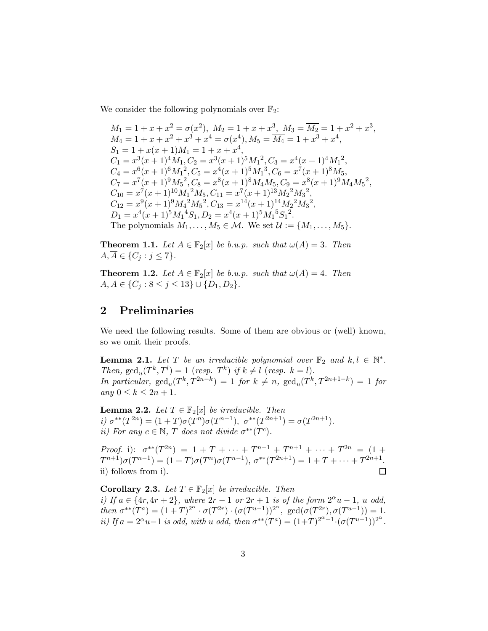We consider the following polynomials over  $\mathbb{F}_2$ :

 $M_1 = 1 + x + x^2 = \sigma(x^2), M_2 = 1 + x + x^3, M_3 = \overline{M_2} = 1 + x^2 + x^3,$  $M_4 = 1 + x + x^2 + x^3 + x^4 = \sigma(x^4), M_5 = \overline{M_4} = 1 + x^3 + x^4,$  $S_1 = 1 + x(x+1)M_1 = 1 + x + x^4,$  $C_1 = x^3(x+1)^4 M_1, C_2 = x^3(x+1)^5 M_1^2, C_3 = x^4(x+1)^4 M_1^2,$  $C_4 = x^6(x+1)^6M_1^2$ ,  $C_5 = x^4(x+1)^5M_1^3$ ,  $C_6 = x^7(x+1)^8M_5$ ,  $C_7 = x^7(x+1)^9M_5^2$ ,  $C_8 = x^8(x+1)^8M_4M_5$ ,  $C_9 = x^8(x+1)^9M_4M_5^2$ ,  $C_{10} = x^7(x+1)^{10} M_1^2 M_5, C_{11} = x^7(x+1)^{13} M_2^2 M_3^2,$  $C_{12} = x^9(x+1)^9 M_4^2 M_5^2, C_{13} = x^{14}(x+1)^{14} M_2^2 M_3^2,$  $D_1 = x^4(x+1)^5 M_1^4 S_1, D_2 = x^4(x+1)^5 M_1^5 S_1^2.$ The polynomials  $M_1, \ldots, M_5 \in \mathcal{M}$ . We set  $\mathcal{U} := \{M_1, \ldots, M_5\}.$ 

<span id="page-2-0"></span>**Theorem 1.1.** Let  $A \in \mathbb{F}_2[x]$  be b.u.p. such that  $\omega(A) = 3$ . Then  $A, \overline{A} \in \{C_j : j \leq 7\}.$ 

<span id="page-2-1"></span>**Theorem 1.2.** Let  $A \in \mathbb{F}_2[x]$  be b.u.p. such that  $\omega(A) = 4$ . Then  $A, \overline{A} \in \{C_j : 8 \leq j \leq 13\} \cup \{D_1, D_2\}.$ 

# 2 Preliminaries

We need the following results. Some of them are obvious or (well) known, so we omit their proofs.

**Lemma 2.1.** Let T be an irreducible polynomial over  $\mathbb{F}_2$  and  $k, l \in \mathbb{N}^*$ . *Then,*  $\gcd_u(T^k, T^l) = 1$  (*resp.*  $T^k$ ) *if*  $k \neq l$  (*resp.*  $k = l$ )*. In particular,*  $gcd_u(T^k, T^{2n-k}) = 1$  *for*  $k \neq n$ ,  $gcd_u(T^k, T^{2n+1-k}) = 1$  *for any*  $0 \le k \le 2n + 1$ *.* 

<span id="page-2-3"></span>**Lemma 2.2.** *Let*  $T \in \mathbb{F}_2[x]$  *be irreducible. Then i)*  $\sigma^{**}(T^{2n}) = (1+T)\sigma(T^{n})\sigma(T^{n-1}), \ \sigma^{**}(T^{2n+1}) = \sigma(T^{2n+1}).$ *ii)* For any  $c \in \mathbb{N}$ , T does not divide  $\sigma^{**}(T^c)$ .

*Proof.* i):  $\sigma^{**}(T^{2n}) = 1 + T + \cdots + T^{n-1} + T^{n+1} + \cdots + T^{2n} = (1 +$  $T^{n+1})\sigma(T^{n-1}) = (1+T)\sigma(T^n)\sigma(T^{n-1}), \sigma^{**}(T^{2n+1}) = 1+T+\cdots+T^{2n+1}.$ ii) follows from i). □

<span id="page-2-2"></span>**Corollary 2.3.** *Let*  $T \in \mathbb{F}_2[x]$  *be irreducible. Then i)* If  $a \in \{4r, 4r + 2\}$ , where  $2r - 1$  or  $2r + 1$  is of the form  $2^{\alpha}u - 1$ , u odd, *then*  $\sigma^{**}(T^a) = (1+T)^{2^{\alpha}} \cdot \sigma(T^{2r}) \cdot (\sigma(T^{u-1}))^{2^{\alpha}}, \text{ gcd}(\sigma(T^{2r}), \sigma(T^{u-1})) = 1.$ *ii)* If  $a = 2^{\alpha}u - 1$  *is odd, with* u *odd, then*  $\sigma^{**}(T^a) = (1+T)^{2^{\alpha}-1} \cdot (\sigma(T^{u-1}))^{2^{\alpha}}$ .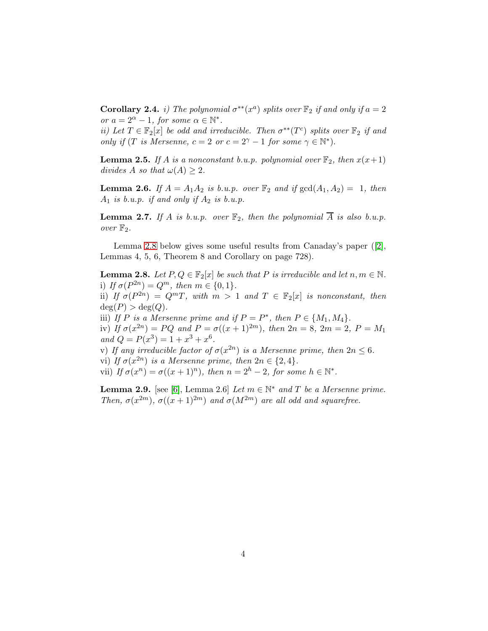<span id="page-3-2"></span>**Corollary 2.4.** *i)* The polynomial  $\sigma^{**}(x^a)$  splits over  $\mathbb{F}_2$  if and only if  $a = 2$ *or*  $a = 2^{\alpha} - 1$ *, for some*  $\alpha \in \mathbb{N}^*$ *.* 

*ii)* Let  $T \in \mathbb{F}_2[x]$  be odd and irreducible. Then  $\sigma^{**}(T^c)$  splits over  $\mathbb{F}_2$  if and *only if* (*T is Mersenne,*  $c = 2$  *or*  $c = 2^{\gamma} - 1$  *for some*  $\gamma \in \mathbb{N}^*$ ).

<span id="page-3-0"></span>**Lemma 2.5.** *If* A *is a nonconstant b.u.p. polynomial over*  $\mathbb{F}_2$ *, then*  $x(x+1)$ *divides* A *so that*  $\omega(A) \geq 2$ *.* 

**Lemma 2.6.** *If*  $A = A_1 A_2$  *is b.u.p. over*  $\mathbb{F}_2$  *and if*  $gcd(A_1, A_2) = 1$ *, then*  $A_1$  *is b.u.p. if and only if*  $A_2$  *is b.u.p.* 

**Lemma 2.7.** If A is b.u.p. over  $\mathbb{F}_2$ , then the polynomial  $\overline{A}$  is also b.u.p. *over*  $\mathbb{F}_2$ *.* 

Lemma [2.8](#page-3-1) below gives some useful results from Canaday's paper ([\[2\]](#page-14-4), Lemmas 4, 5, 6, Theorem 8 and Corollary on page 728).

<span id="page-3-1"></span>**Lemma 2.8.** *Let*  $P, Q \in \mathbb{F}_2[x]$  *be such that*  $P$  *is irreducible and let*  $n, m \in \mathbb{N}$ *.* i) *If*  $\sigma(P^{2n}) = Q^m$ , then  $m \in \{0, 1\}$ . ii) *If*  $\sigma(P^{2n}) = Q^mT$ , with  $m > 1$  and  $T \in \mathbb{F}_2[x]$  is nonconstant, then  $deg(P) > deg(Q)$ . iii) *If P* is a Mersenne prime and if  $P = P^*$ , then  $P \in \{M_1, M_4\}$ . iv) *If*  $\sigma(x^{2n}) = PQ$  *and*  $P = \sigma((x+1)^{2m})$ *, then*  $2n = 8$ *,*  $2m = 2$ *,*  $P = M_1$ *and*  $Q = P(x^3) = 1 + x^3 + x^6$ . v) If any irreducible factor of  $\sigma(x^{2n})$  is a Mersenne prime, then  $2n \leq 6$ . vi) *If*  $\sigma(x^{2n})$  *is a Mersenne prime, then*  $2n \in \{2, 4\}$ *.* vii) If  $\sigma(x^n) = \sigma((x+1)^n)$ , then  $n = 2^h - 2$ , for some  $h \in \mathbb{N}^*$ .

<span id="page-3-3"></span>**Lemma 2.9.** [see [\[6\]](#page-14-5), Lemma 2.6] *Let*  $m \in \mathbb{N}^*$  *and*  $T$  *be a Mersenne prime. Then,*  $\sigma(x^{2m})$ *,*  $\sigma((x+1)^{2m})$  *and*  $\sigma(M^{2m})$  *are all odd and squarefree.*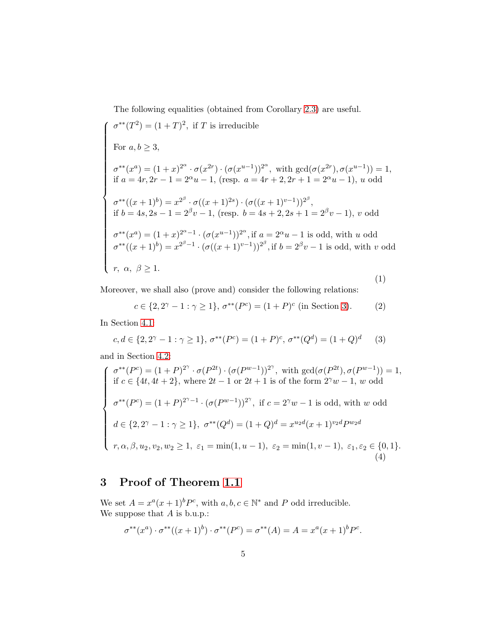The following equalities (obtained from Corollary [2.3\)](#page-2-2) are useful.

<span id="page-4-1"></span>
$$
\sigma^{**}(T^2) = (1+T)^2, \text{ if } T \text{ is irreducible}
$$
  
For  $a, b \ge 3$ ,  

$$
\sigma^{**}(x^a) = (1+x)^{2^{\alpha}} \cdot \sigma(x^{2r}) \cdot (\sigma(x^{u-1}))^{2^{\alpha}}, \text{ with } \gcd(\sigma(x^{2r}), \sigma(x^{u-1})) = 1,
$$
  
if  $a = 4r, 2r - 1 = 2^{\alpha}u - 1$ , (resp.  $a = 4r + 2, 2r + 1 = 2^{\alpha}u - 1$ ), u odd  

$$
\sigma^{**}((x+1)^b) = x^{2^{\beta}} \cdot \sigma((x+1)^{2s}) \cdot (\sigma((x+1)^{v-1}))^{2^{\beta}},
$$
  
if  $b = 4s, 2s - 1 = 2^{\beta}v - 1$ , (resp.  $b = 4s + 2, 2s + 1 = 2^{\beta}v - 1$ ), v odd  

$$
\sigma^{**}(x^a) = (1+x)^{2^{\alpha}-1} \cdot (\sigma(x^{u-1}))^{2^{\alpha}}, \text{ if } a = 2^{\alpha}u - 1 \text{ is odd, with } u \text{ odd}
$$

$$
\sigma^{**}((x+1)^b) = x^{2^{\beta}-1} \cdot (\sigma((x+1)^{v-1}))^{2^{\beta}}, \text{ if } b = 2^{\beta}v - 1 \text{ is odd, with } v \text{ odd}
$$

$$
r, \alpha, \beta \ge 1.
$$
  
(1)

Moreover, we shall also (prove and) consider the following relations:

$$
c \in \{2, 2^{\gamma} - 1 : \gamma \ge 1\}, \sigma^{**}(P^c) = (1 + P)^c \text{ (in Section 3).}
$$
 (2)

In Section [4.1:](#page-6-0)

<span id="page-4-2"></span>
$$
c, d \in \{2, 2^{\gamma} - 1 : \gamma \ge 1\}, \sigma^{**}(P^c) = (1 + P)^c, \sigma^{**}(Q^d) = (1 + Q)^d \tag{3}
$$

and in Section [4.2:](#page-7-0)

<span id="page-4-3"></span>
$$
\begin{cases}\n\sigma^{**}(P^c) = (1+P)^{2^{\gamma}} \cdot \sigma(P^{2t}) \cdot (\sigma(P^{w-1}))^{2^{\gamma}}, \text{ with } \gcd(\sigma(P^{2t}), \sigma(P^{w-1})) = 1, \\
\text{if } c \in \{4t, 4t+2\}, \text{ where } 2t-1 \text{ or } 2t+1 \text{ is of the form } 2^{\gamma}w - 1, w \text{ odd} \\
\sigma^{**}(P^c) = (1+P)^{2^{\gamma}-1} \cdot (\sigma(P^{w-1}))^{2^{\gamma}}, \text{ if } c = 2^{\gamma}w - 1 \text{ is odd, with } w \text{ odd} \\
d \in \{2, 2^{\gamma} - 1 : \gamma \ge 1\}, \ \sigma^{**}(Q^d) = (1+Q)^d = x^{u_2d}(x+1)^{v_2d}P^{w_2d} \\
r, \alpha, \beta, u_2, v_2, w_2 \ge 1, \ \varepsilon_1 = \min(1, u - 1), \ \varepsilon_2 = \min(1, v - 1), \ \varepsilon_1, \varepsilon_2 \in \{0, 1\}.\n\end{cases}
$$
\n(4)

# <span id="page-4-0"></span>3 Proof of Theorem [1.1](#page-2-0)

We set  $A = x^a(x+1)^b P^c$ , with  $a, b, c \in \mathbb{N}^*$  and P odd irreducible. We suppose that  $A$  is b.u.p.:

$$
\sigma^{**}(x^a) \cdot \sigma^{**}((x+1)^b) \cdot \sigma^{**}(P^c) = \sigma^{**}(A) = A = x^a(x+1)^b P^c.
$$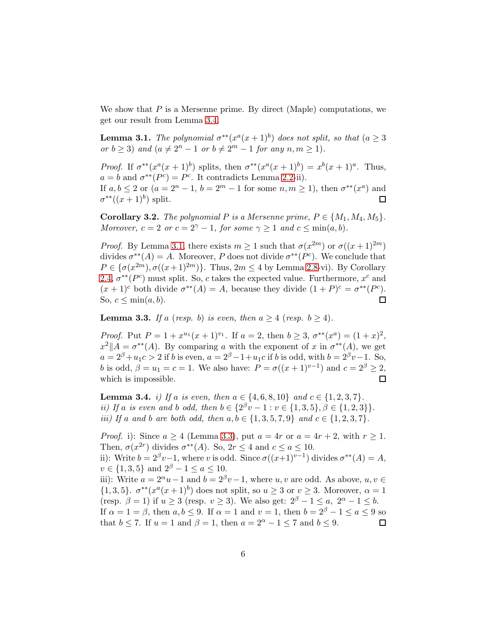We show that  $P$  is a Mersenne prime. By direct (Maple) computations, we get our result from Lemma [3.4.](#page-5-0)

<span id="page-5-1"></span>**Lemma 3.1.** *The polynomial*  $\sigma^{**}(x^a(x+1)^b)$  *does not split, so that*  $(a \geq 3)$ *or*  $b \ge 3$ *) and*  $(a \ne 2^n - 1$  *or*  $b \ne 2^m - 1$  *for any*  $n, m \ge 1$ *)*.

*Proof.* If  $\sigma^{**}(x^a(x+1)^b)$  splits, then  $\sigma^{**}(x^a(x+1)^b) = x^b(x+1)^a$ . Thus,  $a = b$  and  $\sigma^{**}(P^c) = P^c$ . It contradicts Lemma [2.2-](#page-2-3)ii).

If  $a, b \le 2$  or  $(a = 2<sup>n</sup> - 1, b = 2<sup>m</sup> - 1$  for some  $n, m \ge 1$ , then  $\sigma^{**}(x^a)$  and  $\sigma^{**}((x+1)^b)$  split. 口

**Corollary 3.2.** *The polynomial*  $P$  *is a Mersenne prime,*  $P \in \{M_1, M_4, M_5\}$ . *Moreover,*  $c = 2$  *or*  $c = 2^{\gamma} - 1$ *, for some*  $\gamma \ge 1$  *and*  $c \le \min(a, b)$ *.* 

*Proof.* By Lemma [3.1,](#page-5-1) there exists  $m \ge 1$  such that  $\sigma(x^{2m})$  or  $\sigma((x+1)^{2m})$ divides  $\sigma^{**}(A) = A$ . Moreover, P does not divide  $\sigma^{**}(P^c)$ . We conclude that  $P \in {\sigma(x^{2m})}, \sigma((x+1)^{2m})\}.$  Thus,  $2m \le 4$  by Lemma [2.8-](#page-3-1)vi). By Corollary [2.4,](#page-3-2)  $\sigma^{**}(P^c)$  must split. So, c takes the expected value. Furthermore,  $x^c$  and  $(x + 1)^c$  both divide  $\sigma^{**}(A) = A$ , because they divide  $(1 + P)^c = \sigma^{**}(P^c)$ . So,  $c \leq \min(a, b)$ .  $\Box$ 

<span id="page-5-2"></span>**Lemma 3.3.** *If* a (*resp.* b) *is even, then*  $a \geq 4$  (*resp.*  $b \geq 4$ )*.* 

*Proof.* Put  $P = 1 + x^{u_1}(x+1)^{v_1}$ . If  $a = 2$ , then  $b \geq 3$ ,  $\sigma^{**}(x^a) = (1+x)^2$ ,  $x^2$ || $A = \sigma^{**}(A)$ . By comparing a with the exponent of x in  $\sigma^{**}(A)$ , we get  $a = 2^{\beta} + u_1 c > 2$  if b is even,  $a = 2^{\beta} - 1 + u_1 c$  if b is odd, with  $b = 2^{\beta} v - 1$ . So, b is odd,  $\beta = u_1 = c = 1$ . We also have:  $P = \sigma((x+1)^{v-1})$  and  $c = 2^{\beta} \ge 2$ , which is impossible.  $\Box$ 

<span id="page-5-0"></span>**Lemma 3.4.** *i)* If a *is even, then*  $a \in \{4, 6, 8, 10\}$  and  $c \in \{1, 2, 3, 7\}$ . *ii)* If a *is even and* b *odd, then*  $b \in \{2^{\beta}v - 1 : v \in \{1, 3, 5\}, \beta \in \{1, 2, 3\}\}.$ *iii)* If a and b are both odd, then  $a, b \in \{1, 3, 5, 7, 9\}$  and  $c \in \{1, 2, 3, 7\}$ .

*Proof.* i): Since  $a \ge 4$  (Lemma [3.3\)](#page-5-2), put  $a = 4r$  or  $a = 4r + 2$ , with  $r \ge 1$ . Then,  $\sigma(x^{2r})$  divides  $\sigma^{**}(A)$ . So,  $2r \leq 4$  and  $c \leq a \leq 10$ . ii): Write  $b = 2^{\beta}v-1$ , where v is odd. Since  $\sigma((x+1)^{v-1})$  divides  $\sigma^{**}(A) = A$ ,  $v \in \{1, 3, 5\}$  and  $2^{\beta} - 1 \le a \le 10$ . iii): Write  $a = 2^{\alpha}u - 1$  and  $b = 2^{\beta}v - 1$ , where  $u, v$  are odd. As above,  $u, v \in$  $\{1,3,5\}$ .  $\sigma^{**}(x^a(x+1)^b)$  does not split, so  $u \geq 3$  or  $v \geq 3$ . Moreover,  $\alpha = 1$ (resp.  $\beta = 1$ ) if  $u \ge 3$  (resp.  $v \ge 3$ ). We also get:  $2^{\beta} - 1 \le a, 2^{\alpha} - 1 \le b$ . If  $\alpha = 1 = \beta$ , then  $a, b \le 9$ . If  $\alpha = 1$  and  $v = 1$ , then  $b = 2^{\beta} - 1 \le a \le 9$  so that  $b \le 7$ . If  $u = 1$  and  $\beta = 1$ , then  $a = 2^{\alpha} - 1 \le 7$  and  $b \le 9$ . □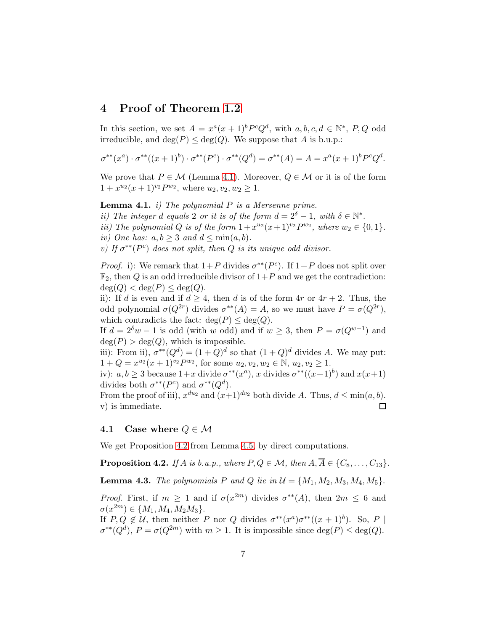## 4 Proof of Theorem [1.2](#page-2-1)

In this section, we set  $A = x^a(x+1)^b P^c Q^d$ , with  $a, b, c, d \in \mathbb{N}^*, P, Q$  odd irreducible, and  $\deg(P) \leq \deg(Q)$ . We suppose that A is b.u.p.:

$$
\sigma^{**}(x^a) \cdot \sigma^{**}((x+1)^b) \cdot \sigma^{**}(P^c) \cdot \sigma^{**}(Q^d) = \sigma^{**}(A) = A = x^a(x+1)^b P^c Q^d.
$$

We prove that  $P \in \mathcal{M}$  (Lemma [4.1\)](#page-6-1). Moreover,  $Q \in \mathcal{M}$  or it is of the form  $1 + x^{u_2}(x+1)^{v_2}P^{w_2}$ , where  $u_2, v_2, w_2 \ge 1$ .

<span id="page-6-1"></span>Lemma 4.1. *i) The polynomial* P *is a Mersenne prime.*

*ii)* The integer d equals 2 or it is of the form  $d = 2^{\delta} - 1$ , with  $\delta \in \mathbb{N}^*$ .

*iii*) The polynomial Q *is of the form*  $1 + x^{u_2}(x+1)^{v_2}P^{w_2}$ , where  $w_2 \in \{0, 1\}$ .

*iv)* One has:  $a, b \geq 3$  and  $d \leq \min(a, b)$ .

 $\sigma$ <sup>*i*</sup> *does not split, then*  $Q$  *is its unique odd divisor.* 

*Proof.* i): We remark that  $1+P$  divides  $\sigma^{**}(P^c)$ . If  $1+P$  does not split over  $\mathbb{F}_2$ , then Q is an odd irreducible divisor of  $1+P$  and we get the contradiction:  $deg(Q) < deg(P) < deg(Q)$ .

ii): If d is even and if  $d \geq 4$ , then d is of the form  $4r$  or  $4r + 2$ . Thus, the odd polynomial  $\sigma(Q^{2r})$  divides  $\sigma^{**}(A) = A$ , so we must have  $P = \sigma(Q^{2r})$ , which contradicts the fact:  $deg(P) \leq deg(Q)$ .

If  $d = 2^{\delta}w - 1$  is odd (with w odd) and if  $w \geq 3$ , then  $P = \sigma(Q^{w-1})$  and  $deg(P) > deg(Q)$ , which is impossible.

iii): From ii),  $\sigma^{**}(Q^d) = (1+Q)^d$  so that  $(1+Q)^d$  divides A. We may put:  $1 + Q = x^{u_2}(x+1)^{v_2} P^{w_2}$ , for some  $u_2, v_2, w_2 \in \mathbb{N}, u_2, v_2 \ge 1$ .

iv):  $a, b \ge 3$  because  $1+x$  divide  $\sigma^{**}(x^a)$ , x divides  $\sigma^{**}((x+1)^b)$  and  $x(x+1)$ divides both  $\sigma^{**}(P^c)$  and  $\sigma^{**}(Q^d)$ .

From the proof of iii),  $x^{du_2}$  and  $(x+1)^{dv_2}$  both divide A. Thus,  $d \le \min(a, b)$ . v) is immediate. П

### <span id="page-6-0"></span>4.1 Case where  $Q \in \mathcal{M}$

We get Proposition [4.2](#page-6-2) from Lemma [4.5,](#page-7-1) by direct computations.

<span id="page-6-2"></span>**Proposition 4.2.** *If* A *is b.u.p., where*  $P, Q \in \mathcal{M}$ *, then*  $A, \overline{A} \in \{C_8, \ldots, C_{13}\}.$ 

<span id="page-6-3"></span>**Lemma 4.3.** *The polynomials P and Q lie in*  $\mathcal{U} = \{M_1, M_2, M_3, M_4, M_5\}$ .

*Proof.* First, if  $m \geq 1$  and if  $\sigma(x^{2m})$  divides  $\sigma^{**}(A)$ , then  $2m \leq 6$  and  $\sigma(x^{2m}) \in \{M_1, M_4, M_2M_3\}.$ 

If  $P, Q \notin \mathcal{U}$ , then neither P nor Q divides  $\sigma^{**}(x^a)\sigma^{**}((x+1)^b)$ . So, P |  $\sigma^{**}(Q^d)$ ,  $P = \sigma(Q^{2m})$  with  $m \ge 1$ . It is impossible since  $\deg(P) \le \deg(Q)$ .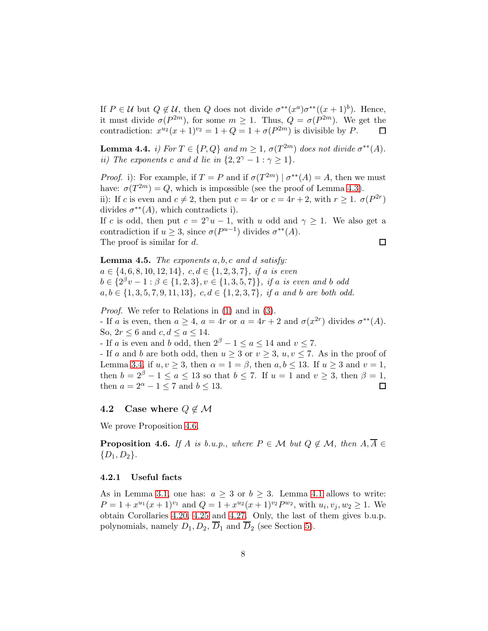If  $P \in \mathcal{U}$  but  $Q \notin \mathcal{U}$ , then  $Q$  does not divide  $\sigma^{**}(x^a)\sigma^{**}((x+1)^b)$ . Hence, it must divide  $\sigma(P^{2m})$ , for some  $m \geq 1$ . Thus,  $Q = \sigma(P^{2m})$ . We get the contradiction:  $x^{u_2}(x+1)^{v_2} = 1 + Q = 1 + \sigma(P^{2m})$  is divisible by P.  $\Box$ 

Lemma 4.4. *i)* For  $T \in \{P, Q\}$  and  $m \geq 1$ ,  $\sigma(T^{2m})$  does not divide  $\sigma^{**}(A)$ . *ii)* The exponents c and d lie in  $\{2, 2^{\gamma} - 1 : \gamma \geq 1\}$ .

*Proof.* i): For example, if  $T = P$  and if  $\sigma(T^{2m}) | \sigma^{**}(A) = A$ , then we must have:  $\sigma(T^{2m}) = Q$ , which is impossible (see the proof of Lemma [4.3\)](#page-6-3). ii): If c is even and  $c \neq 2$ , then put  $c = 4r$  or  $c = 4r + 2$ , with  $r \geq 1$ .  $\sigma(P^{2r})$ divides  $\sigma^{**}(A)$ , which contradicts i).

If c is odd, then put  $c = 2^{\gamma}u - 1$ , with u odd and  $\gamma \geq 1$ . We also get a contradiction if  $u \geq 3$ , since  $\sigma(P^{u-1})$  divides  $\sigma^{**}(A)$ . The proof is similar for d.  $\Box$ 

<span id="page-7-1"></span>Lemma 4.5. *The exponents* a, b, c *and* d *satisfy:* a ∈ {4, 6, 8, 10, 12, 14}*,* c, d ∈ {1, 2, 3, 7}*, if* a *is even*  $b \in \{2^{\beta}v - 1 : \beta \in \{1, 2, 3\}, v \in \{1, 3, 5, 7\}\},\$ if a is even and b odd  $a, b \in \{1, 3, 5, 7, 9, 11, 13\}, c, d \in \{1, 2, 3, 7\}, \text{ if } a \text{ and } b \text{ are both odd.}$ 

*Proof.* We refer to Relations in [\(1\)](#page-4-1) and in [\(3\)](#page-4-2). - If a is even, then  $a \ge 4$ ,  $a = 4r$  or  $a = 4r + 2$  and  $\sigma(x^{2r})$  divides  $\sigma^{**}(A)$ . So,  $2r \leq 6$  and  $c, d \leq a \leq 14$ . - If a is even and b odd, then  $2^{\beta} - 1 \le a \le 14$  and  $v \le 7$ . - If a and b are both odd, then  $u \geq 3$  or  $v \geq 3$ ,  $u, v \leq 7$ . As in the proof of Lemma [3.4,](#page-5-0) if  $u, v \geq 3$ , then  $\alpha = 1 = \beta$ , then  $a, b \leq 13$ . If  $u \geq 3$  and  $v = 1$ , then  $b = 2^{\beta} - 1 \le a \le 13$  so that  $b \le 7$ . If  $u = 1$  and  $v \ge 3$ , then  $\beta = 1$ , then  $a = 2^{\alpha} - 1 \leq 7$  and  $b \leq 13$ . □

## <span id="page-7-0"></span>4.2 Case where  $Q \notin \mathcal{M}$

We prove Proposition [4.6.](#page-7-2)

<span id="page-7-2"></span>**Proposition 4.6.** *If* A *is b.u.p., where*  $P \in \mathcal{M}$  *but*  $Q \notin \mathcal{M}$ *, then*  $A, \overline{A} \in$  $\{D_1, D_2\}.$ 

## 4.2.1 Useful facts

As in Lemma [3.1,](#page-5-1) one has:  $a \geq 3$  or  $b \geq 3$ . Lemma [4.1](#page-6-1) allows to write:  $P = 1 + x^{u_1}(x+1)^{v_1}$  and  $Q = 1 + x^{u_2}(x+1)^{v_2} P^{w_2}$ , with  $u_i, v_j, w_2 \ge 1$ . We obtain Corollaries [4.20,](#page-11-0) [4.25](#page-12-0) and [4.27.](#page-13-0) Only, the last of them gives b.u.p. polynomials, namely  $D_1, D_2, \overline{D}_1$  and  $\overline{D}_2$  (see Section [5\)](#page-13-1).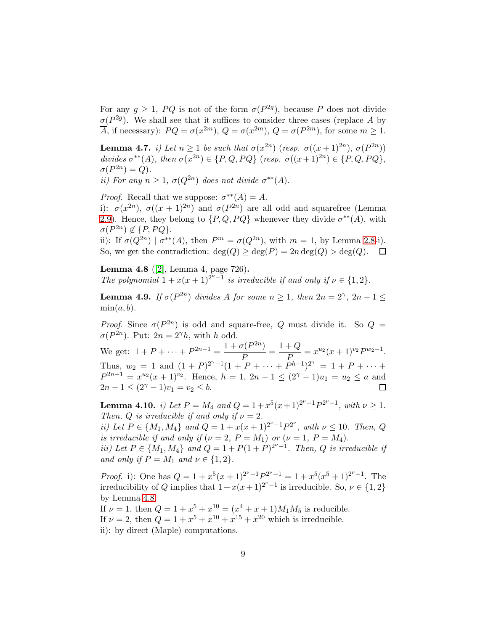For any  $g \geq 1$ ,  $PQ$  is not of the form  $\sigma(P^{2g})$ , because P does not divide  $\sigma(P^{2g})$ . We shall see that it suffices to consider three cases (replace A by  $\overline{A}$ , if necessary):  $PQ = \sigma(x^{2m})$ ,  $Q = \sigma(x^{2m})$ ,  $Q = \sigma(P^{2m})$ , for some  $m \ge 1$ .

<span id="page-8-2"></span>Lemma 4.7. *i)* Let  $n \geq 1$  be such that  $\sigma(x^{2n})$  (resp.  $\sigma((x+1)^{2n})$ ,  $\sigma(P^{2n})$ ) divides  $\sigma^{**}(A)$ , then  $\sigma(\overline{x}^{2n}) \in \{P, Q, PQ\}$  (*resp.*  $\sigma((x+1)^{2n}) \in \{P, Q, PQ\}$ ,  $\sigma(P^{2n}) = Q$ ).

*ii*) For any  $n \geq 1$ ,  $\sigma(Q^{2n})$  does not divide  $\sigma^{**}(A)$ .

*Proof.* Recall that we suppose:  $\sigma^{**}(A) = A$ .

i):  $\sigma(x^{2n})$ ,  $\sigma((x+1)^{2n})$  and  $\sigma(P^{2n})$  are all odd and squarefree (Lemma [2.9\)](#page-3-3). Hence, they belong to  $\{P,Q,PQ\}$  whenever they divide  $\sigma^{**}(A)$ , with  $\sigma(P^{2n}) \notin \{P, PQ\}.$ 

ii): If  $\sigma(Q^{2n}) \mid \sigma^{**}(A)$ , then  $P^m = \sigma(Q^{2n})$ , with  $m = 1$ , by Lemma [2.8-](#page-3-1)i). So, we get the contradiction:  $\deg(Q) \geq \deg(P) = 2n \deg(Q) > \deg(Q)$ .  $\Box$ 

<span id="page-8-0"></span>Lemma 4.8 ([\[2\]](#page-14-4), Lemma 4, page 726). *The polynomial*  $1 + x(x+1)^{2^{\nu}-1}$  *is irreducible if and only if*  $\nu \in \{1,2\}$ *.* 

**Lemma 4.9.** *If*  $\sigma(P^{2n})$  *divides A for some*  $n \geq 1$ *, then*  $2n = 2^{\gamma}$ *,*  $2n - 1 \leq$  $min(a, b)$ .

*Proof.* Since  $\sigma(P^{2n})$  is odd and square-free, Q must divide it. So  $Q =$  $\sigma(P^{2n})$ . Put:  $2n = 2^{\gamma}h$ , with h odd.

We get:  $1 + P + \cdots + P^{2n-1} = \frac{1 + \sigma(P^{2n})}{P}$  $\frac{\sigma(P^{2n})}{P} = \frac{1+Q}{P}$  $\frac{+Q}{P} = x^{u_2}(x+1)^{v_2} P^{w_2-1}.$ Thus,  $w_2 = 1$  and  $(1 + P)^{2^{\gamma}-1}(1 + P + \cdots + P^{h-1})^{2^{\gamma}} = 1 + P + \cdots$  $P^{2n-1} = x^{u_2}(x+1)^{v_2}$ . Hence,  $h = 1, 2n-1 \leq (2^{\gamma}-1)u_1 = u_2 \leq a$  and  $2n - 1 \leq (2^{\gamma} - 1)v_1 = v_2 \leq b.$  $\Box$ 

<span id="page-8-1"></span>Lemma 4.10. *i)* Let  $P = M_4$  and  $Q = 1 + x^5(x+1)^{2^{\nu}-1}P^{2^{\nu}-1}$ , with  $\nu \ge 1$ . *Then, Q is irreducible if and only if*  $\nu = 2$ *.* 

*ii)* Let  $P \in \{M_1, M_4\}$  and  $Q = 1 + x(x+1)^{2^{\nu}-1}P^{2^{\nu}}$ , with  $\nu \leq 10$ . Then, Q *is irreducible if and only if*  $(\nu = 2, P = M_1)$  *or*  $(\nu = 1, P = M_4)$ *.* 

*iii)* Let  $P \in \{M_1, M_4\}$  and  $Q = 1 + P(1 + P)^{2^{\nu}-1}$ . Then, Q is irreducible if *and only if*  $P = M_1$  *and*  $\nu \in \{1, 2\}$ *.* 

*Proof.* i): One has  $Q = 1 + x^5(x+1)^{2^{\nu}-1}P^{2^{\nu}-1} = 1 + x^5(x^5+1)^{2^{\nu}-1}$ . The irreducibility of Q implies that  $1 + x(x+1)^{2^{\nu}-1}$  is irreducible. So,  $\nu \in \{1,2\}$ by Lemma [4.8.](#page-8-0)

If  $\nu = 1$ , then  $Q = 1 + x^5 + x^{10} = (x^4 + x + 1)M_1M_5$  is reducible. If  $\nu = 2$ , then  $Q = 1 + x^5 + x^{10} + x^{15} + x^{20}$  which is irreducible. ii): by direct (Maple) computations.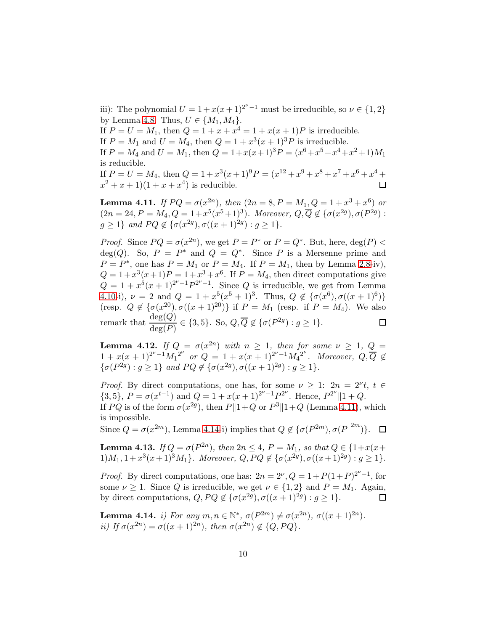iii): The polynomial  $U = 1 + x(x+1)^{2^{\nu}-1}$  must be irreducible, so  $\nu \in \{1,2\}$ by Lemma [4.8.](#page-8-0) Thus,  $U \in \{M_1, M_4\}.$ 

If  $P = U = M_1$ , then  $Q = 1 + x + x^4 = 1 + x(x+1)P$  is irreducible. If  $P = M_1$  and  $U = M_4$ , then  $Q = 1 + x^3(x+1)^3 P$  is irreducible.

If  $P = M_4$  and  $U = M_1$ , then  $Q = 1 + x(x+1)^3 P = (x^6 + x^5 + x^4 + x^2 + 1)M_1$ is reducible.

If P = U = M4, then Q = 1 + x 3 (x+ 1)9P = (x <sup>12</sup> + x <sup>9</sup> + x <sup>8</sup> + x <sup>7</sup> + x <sup>6</sup> + x <sup>4</sup> +  $(x^2 + x + 1)(1 + x + x^4)$  is reducible.

<span id="page-9-0"></span>**Lemma 4.11.** *If*  $PQ = \sigma(x^{2n})$ *, then*  $(2n = 8, P = M_1, Q = 1 + x^3 + x^6)$  *or*  $(2n = 24, P = M_4, Q = 1 + x^5(x^5 + 1)^3)$ . Moreover,  $Q, \overline{Q} \notin {\sigma(x^{2g}), \sigma(P^{2g})}$ :  $g \ge 1$ *}* and  $PQ \notin {\sigma(x^{2g})}, \sigma((x+1)^{2g}) : g \ge 1$ *}*.

*Proof.* Since  $PQ = \sigma(x^{2n})$ , we get  $P = P^*$  or  $P = Q^*$ . But, here,  $\deg(P)$  $deg(Q)$ . So,  $P = P^*$  and  $Q = Q^*$ . Since P is a Mersenne prime and  $P = P^*$ , one has  $P = M_1$  or  $P = M_4$ . If  $P = M_1$ , then by Lemma [2.8-](#page-3-1)iv),  $Q = 1 + x^3(x+1)P = 1 + x^3 + x^6$ . If  $P = M_4$ , then direct computations give  $Q = 1 + x^5(x+1)^{2^{\nu}-1}P^{2^{\nu}-1}$ . Since Q is irreducible, we get from Lemma [4.10-](#page-8-1)i),  $\nu = 2$  and  $Q = 1 + x^5(x^5 + 1)^3$ . Thus,  $Q \notin {\sigma(x^6), \sigma((x+1)^6)}$ (resp.  $Q \notin {\sigma(x^{20}), \sigma((x+1)^{20})}$  if  $P = M_1$  (resp. if  $P = M_4$ ). We also remark that  $\frac{\deg(Q)}{\deg(P)} \in \{3, 5\}$ . So,  $Q, \overline{Q} \notin {\{\sigma(P^{2g}) : g \ge 1\}}$ . 口

<span id="page-9-2"></span>**Lemma 4.12.** *If*  $Q = \sigma(x^{2n})$  *with*  $n \geq 1$ *, then for some*  $\nu \geq 1$ *,*  $Q =$  $1 + x(x+1)^{2^{\nu}-1}M_1^{2^{\nu}}$  or  $Q = 1 + x(x+1)^{2^{\nu}-1}M_4^{2^{\nu}}$ . Moreover,  $Q, \overline{Q} \notin$  $\{\sigma(P^{2g}) : g \ge 1\}$  *and*  $PQ \notin \{\sigma(x^{2g}), \sigma((x+1)^{2g}) : g \ge 1\}.$ 

*Proof.* By direct computations, one has, for some  $\nu \geq 1$ :  $2n = 2^{\nu}t$ ,  $t \in$  $\{3,5\}, P = \sigma(x^{t-1})$  and  $Q = 1 + x(x+1)^{2^{\nu}-1}P^{2^{\nu}}$ . Hence,  $P^{2^{\nu}}\|1+Q$ . If PQ is of the form  $\sigma(x^{2g})$ , then  $P\|1+Q$  or  $P^3\|1+Q$  (Lemma [4.11\)](#page-9-0), which is impossible.

Since  $Q = \sigma(x^{2m})$ , Lemma [4.14-](#page-9-1)i) implies that  $Q \notin {\{\sigma(P^{2m}), \sigma(\overline{P}^{2m})\}}$ .

<span id="page-9-3"></span>**Lemma 4.13.** *If*  $Q = \sigma(P^{2n})$ *, then*  $2n \leq 4$ *,*  $P = M_1$ *, so that*  $Q \in \{1 + x(x +$  $1)M_1, 1+x^3(x+1)^3M_1$ *}. Moreover,*  $Q, PQ \notin {\sigma(x^{2g}), \sigma((x+1)^{2g}) : g \ge 1}$ *.* 

*Proof.* By direct computations, one has:  $2n = 2^{\nu}$ ,  $Q = 1 + P(1+P)^{2^{\nu}-1}$ , for some  $\nu \geq 1$ . Since Q is irreducible, we get  $\nu \in \{1,2\}$  and  $P = M_1$ . Again, by direct computations,  $Q, PQ \notin {\{\sigma(x^{2g}),\sigma((x+1)^{2g}) : g \ge 1\}}.$ 口

<span id="page-9-1"></span>Lemma 4.14. *i)* For any  $m, n \in \mathbb{N}^*, \sigma(P^{2m}) \neq \sigma(x^{2n}), \sigma((x+1)^{2n}).$ *ii)* If  $\sigma(x^{2n}) = \sigma((x+1)^{2n})$ , then  $\sigma(x^{2n}) \notin \{Q, PQ\}$ .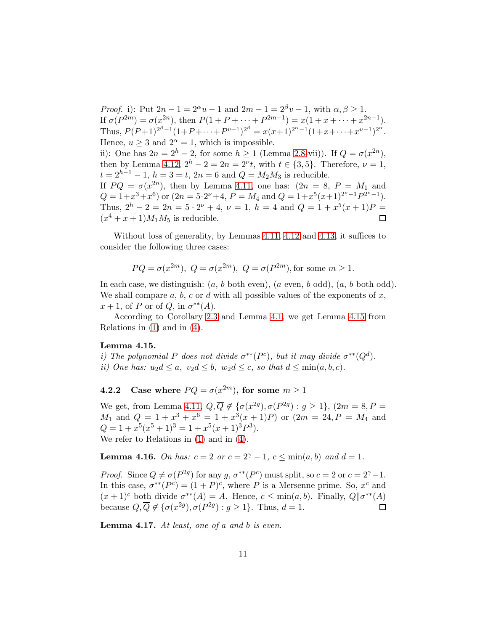*Proof.* i): Put  $2n - 1 = 2^{\alpha}u - 1$  and  $2m - 1 = 2^{\beta}v - 1$ , with  $\alpha, \beta \ge 1$ . If  $\sigma(P^{2m}) = \sigma(x^{2n})$ , then  $P(1 + P + \cdots + P^{2m-1}) = x(1 + x + \cdots + x^{2n-1})$ . Thus,  $P(P+1)^{2^{\beta}-1}(1+P+\cdots+P^{v-1})^{2^{\beta}} = x(x+1)^{2^{\alpha}-1}(1+x+\cdots+x^{u-1})^{2^{\alpha}}$ . Hence,  $u > 3$  and  $2^{\alpha} = 1$ , which is impossible. ii): One has  $2n = 2<sup>h</sup> - 2$ , for some  $h \ge 1$  (Lemma [2.8-](#page-3-1)vii)). If  $Q = \sigma(x^{2n})$ , then by Lemma [4.12,](#page-9-2)  $2^h - 2 = 2n = 2^{\nu}t$ , with  $t \in \{3, 5\}$ . Therefore,  $\nu = 1$ ,  $t = 2^{h-1} - 1$ ,  $h = 3 = t$ ,  $2n = 6$  and  $Q = M_2M_3$  is reducible. If  $PQ = \sigma(x^{2n})$ , then by Lemma [4.11,](#page-9-0) one has:  $(2n = 8, P = M_1$  and  $Q = 1 + x^3 + x^6$  or  $(2n = 5 \cdot 2^{\nu} + 4, P = M_4 \text{ and } Q = 1 + x^5 (x+1)^{2^{\nu}-1} P^{2^{\nu}-1}$ . Thus,  $2^h - 2 = 2n = 5 \cdot 2^{\nu} + 4$ ,  $\nu = 1$ ,  $h = 4$  and  $Q = 1 + x^5(x+1)P =$  $(x^4 + x + 1)M_1M_5$  is reducible.  $\Box$ 

Without loss of generality, by Lemmas [4.11,](#page-9-0) [4.12](#page-9-2) and [4.13,](#page-9-3) it suffices to consider the following three cases:

$$
PQ = \sigma(x^{2m}), Q = \sigma(x^{2m}), Q = \sigma(P^{2m}),
$$
 for some  $m \ge 1$ .

In each case, we distinguish:  $(a, b \text{ both even}), (a \text{ even}, b \text{ odd}), (a, b \text{ both odd}).$ We shall compare  $a, b, c$  or  $d$  with all possible values of the exponents of  $x$ ,  $x+1$ , of P or of Q, in  $\sigma^{**}(A)$ .

According to Corollary [2.3](#page-2-2) and Lemma [4.1,](#page-6-1) we get Lemma [4.15](#page-10-0) from Relations in [\(1\)](#page-4-1) and in [\(4\)](#page-4-3).

#### <span id="page-10-0"></span>Lemma 4.15.

*i)* The polynomial P does not divide  $\sigma^{**}(P^c)$ , but it may divide  $\sigma^{**}(Q^d)$ . *ii)* One has:  $u_2d \le a$ ,  $v_2d \le b$ ,  $w_2d \le c$ , so that  $d \le \min(a, b, c)$ .

**4.2.2** Case where  $PQ = \sigma(x^{2m})$ , for some  $m \ge 1$ 

We get, from Lemma [4.11,](#page-9-0)  $Q, \overline{Q} \notin {\sigma(x^{2g}), \sigma(P^{2g}) : g \ge 1}, (2m = 8, P =$  $M_1$  and  $Q = 1 + x^3 + x^6 = 1 + x^3(x+1)P$  or  $(2m = 24, P = M_4$  and  $Q = 1 + x^5(x^5 + 1)^3 = 1 + x^5(x+1)^3P^3$ . We refer to Relations in [\(1\)](#page-4-1) and in [\(4\)](#page-4-3).

<span id="page-10-1"></span>**Lemma 4.16.** *On has:*  $c = 2$  *or*  $c = 2^{\gamma} - 1$ ,  $c \le \min(a, b)$  *and*  $d = 1$ *.* 

*Proof.* Since  $Q \neq \sigma(P^{2g})$  for any g,  $\sigma^{**}(P^c)$  must split, so  $c = 2$  or  $c = 2^{\gamma} - 1$ . In this case,  $\sigma^{**}(P^c) = (1+P)^c$ , where P is a Mersenne prime. So,  $x^c$  and  $(x+1)^c$  both divide  $\sigma^{**}(A) = A$ . Hence,  $c \le \min(a, b)$ . Finally,  $Q||\sigma^{**}(A)$ because  $Q, \overline{Q} \notin {\{\sigma(x^{2g}), \sigma(P^{2g}) : g \ge 1\}}$ . Thus,  $d = 1$ .  $\Box$ 

Lemma 4.17. *At least, one of* a *and* b *is even.*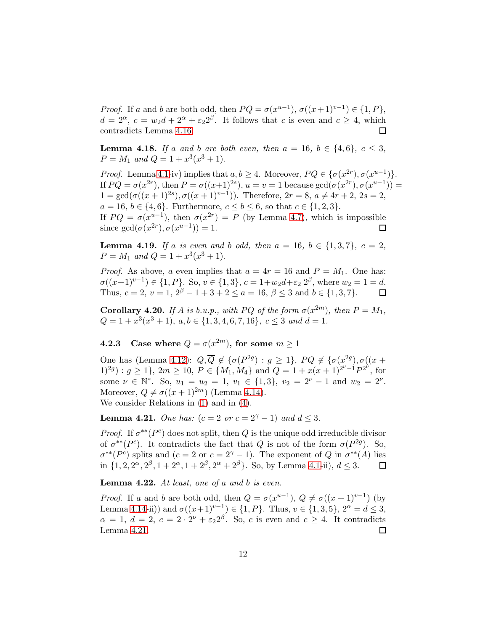*Proof.* If a and b are both odd, then  $PQ = \sigma(x^{u-1}), \sigma((x+1)^{v-1}) \in \{1, P\},\$  $d = 2^{\alpha}, c = w_2 d + 2^{\alpha} + \varepsilon_2 2^{\beta}$ . It follows that c is even and  $c \geq 4$ , which contradicts Lemma [4.16.](#page-10-1)  $\Box$ 

**Lemma 4.18.** *If* a and *b* are both even, then  $a = 16$ ,  $b \in \{4, 6\}$ ,  $c \leq 3$ ,  $P = M_1$  and  $Q = 1 + x^3(x^3 + 1)$ .

*Proof.* Lemma [4.1-](#page-6-1)iv) implies that  $a, b \ge 4$ . Moreover,  $PQ \in {\sigma(x^{2r}), \sigma(x^{u-1})}.$ If  $PQ = \sigma(x^{2r})$ , then  $P = \sigma((x+1)^{2s})$ ,  $u = v = 1$  because  $gcd(\sigma(x^{2r}), \sigma(x^{u-1})) =$  $1 = \gcd(\sigma((x+1)^{2s}), \sigma((x+1)^{v-1})).$  Therefore,  $2r = 8, a \neq 4r + 2, 2s = 2,$  $a = 16, b \in \{4, 6\}.$  Furthermore,  $c \le b \le 6$ , so that  $c \in \{1, 2, 3\}.$ If  $PQ = \sigma(x^{u-1})$ , then  $\sigma(x^{2r}) = P$  (by Lemma [4.7\)](#page-8-2), which is impossible since  $gcd(\sigma(x^{2r}), \sigma(x^{u-1})) = 1$ .  $\Box$ 

**Lemma 4.19.** *If* a *is even and b odd, then*  $a = 16$ *,*  $b \in \{1,3,7\}$ *,*  $c = 2$ *,*  $P = M_1$  and  $Q = 1 + x^3(x^3 + 1)$ .

*Proof.* As above, a even implies that  $a = 4r = 16$  and  $P = M_1$ . One has:  $\sigma((x+1)^{v-1}) \in \{1, P\}$ . So,  $v \in \{1, 3\}$ ,  $c = 1+w_2d+\varepsilon_2 2^{\beta}$ , where  $w_2 = 1 = d$ . Thus,  $c = 2$ ,  $v = 1$ ,  $2^{\beta} - 1 + 3 + 2 \le a = 16$ ,  $\beta \le 3$  and  $b \in \{1, 3, 7\}$ .  $\Box$ 

<span id="page-11-0"></span>**Corollary 4.20.** *If* A *is b.u.p., with* PQ *of the form*  $\sigma(x^{2m})$ *, then*  $P = M_1$ *,*  $Q = 1 + x^3(x^3 + 1), \ a, b \in \{1, 3, 4, 6, 7, 16\}, \ c \leq 3 \ and \ d = 1.$ 

**4.2.3** Case where  $Q = \sigma(x^{2m})$ , for some  $m \ge 1$ 

One has (Lemma [4.12\)](#page-9-2):  $Q, \overline{Q} \notin {\{\sigma(P^{2g}) : g \geq 1\}}, PQ \notin {\{\sigma(x^{2g}), \sigma((x +$  $(1)^{2g}$  :  $g \ge 1$ ,  $2m \ge 10$ ,  $P \in \{M_1, M_4\}$  and  $Q = 1 + x(x+1)^{2^{\nu}-1}P^{2^{\nu}}$ , for some  $\nu \in \mathbb{N}^*$ . So,  $u_1 = u_2 = 1$ ,  $v_1 \in \{1, 3\}$ ,  $v_2 = 2^{\nu} - 1$  and  $w_2 = 2^{\nu}$ . Moreover,  $Q \neq \sigma((x+1)^{2m})$  (Lemma [4.14\)](#page-9-1). We consider Relations in [\(1\)](#page-4-1) and in [\(4\)](#page-4-3).

<span id="page-11-1"></span>**Lemma 4.21.** *One has:*  $(c = 2 \text{ or } c = 2^{\gamma} - 1)$  *and*  $d < 3$ *.* 

*Proof.* If  $\sigma^{**}(P^c)$  does not split, then Q is the unique odd irreducible divisor of  $\sigma^{**}(P^c)$ . It contradicts the fact that Q is not of the form  $\sigma(P^{2g})$ . So,  $\sigma^{**}(P^c)$  splits and  $(c=2 \text{ or } c=2^{\gamma}-1)$ . The exponent of Q in  $\sigma^{**}(A)$  lies in  $\{1, 2, 2^{\alpha}, 2^{\beta}, 1 + 2^{\alpha}, 1 + 2^{\beta}, 2^{\alpha} + 2^{\beta}\}\$ . So, by Lemma [4.1-](#page-6-1)ii),  $d \leq 3$ . 口

Lemma 4.22. *At least, one of* a *and* b *is even.*

*Proof.* If a and b are both odd, then  $Q = \sigma(x^{u-1}), Q \neq \sigma((x+1)^{v-1})$  (by Lemma [4.14-](#page-9-1)ii)) and  $\sigma((x+1)^{v-1}) \in \{1, P\}$ . Thus,  $v \in \{1, 3, 5\}$ ,  $2^{\alpha} = d \leq 3$ ,  $\alpha = 1, d = 2, c = 2 \cdot 2^{\nu} + \epsilon_2 2^{\beta}$ . So, c is even and  $c \geq 4$ . It contradicts Lemma [4.21.](#page-11-1)  $\Box$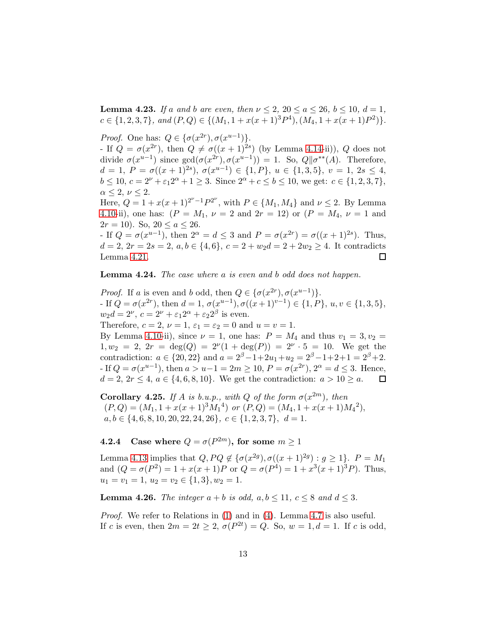**Lemma 4.23.** *If* a and *b* are even, then  $\nu \leq 2$ ,  $20 \leq a \leq 26$ ,  $b \leq 10$ ,  $d = 1$ ,  $c \in \{1, 2, 3, 7\}$ , and  $(P, Q) \in \{(M_1, 1 + x(x+1)^3 P^4), (M_4, 1 + x(x+1)P^2)\}.$ 

*Proof.* One has:  $Q \in {\sigma(x^{2r})}, \sigma(x^{u-1})$ . - If  $Q = \sigma(x^{2r})$ , then  $Q \neq \sigma((x+1)^{2s})$  (by Lemma [4.14-](#page-9-1)ii)), Q does not divide  $\sigma(x^{u-1})$  since  $gcd(\sigma(x^{2r}), \sigma(x^{u-1})) = 1$ . So,  $Q||\sigma^{**}(A)$ . Therefore,  $d = 1, P = \sigma((x+1)^{2s}), \sigma(x^{u-1}) \in \{1, P\}, u \in \{1, 3, 5\}, v = 1, 2s \leq 4,$  $b \le 10, c = 2^{\nu} + \varepsilon_1 2^{\alpha} + 1 \ge 3$ . Since  $2^{\alpha} + c \le b \le 10$ , we get:  $c \in \{1, 2, 3, 7\}$ ,  $\alpha \leq 2, \nu \leq 2.$ 

Here,  $Q = 1 + x(x+1)^{2^{\nu}-1}P^{2^{\nu}}$ , with  $P \in \{M_1, M_4\}$  and  $\nu \leq 2$ . By Lemma [4.10-](#page-8-1)ii), one has:  $(P = M_1, \nu = 2 \text{ and } 2r = 12)$  or  $(P = M_4, \nu = 1 \text{ and } 12r = 12$  $2r = 10$ ). So,  $20 \le a \le 26$ .

- If  $Q = \sigma(x^{u-1})$ , then  $2^{\alpha} = d \leq 3$  and  $P = \sigma(x^{2r}) = \sigma((x+1)^{2s})$ . Thus,  $d = 2, 2r = 2s = 2, a, b \in \{4, 6\}, c = 2 + w_2d = 2 + 2w_2 \ge 4.$  It contradicts Lemma [4.21.](#page-11-1) □

Lemma 4.24. *The case where* a *is even and* b *odd does not happen.*

*Proof.* If a is even and b odd, then  $Q \in {\{\sigma(x^{2r}), \sigma(x^{u-1})\}}$ . - If  $Q = \sigma(x^{2r})$ , then  $d = 1$ ,  $\sigma(x^{u-1})$ ,  $\sigma((x+1)^{v-1}) \in \{1, P\}$ ,  $u, v \in \{1, 3, 5\}$ ,  $w_2d = 2^{\nu}, c = 2^{\nu} + \varepsilon_1 2^{\alpha} + \varepsilon_2 2^{\beta}$  is even. Therefore,  $c = 2$ ,  $\nu = 1$ ,  $\varepsilon_1 = \varepsilon_2 = 0$  and  $u = v = 1$ . By Lemma [4.10-](#page-8-1)ii), since  $\nu = 1$ , one has:  $P = M_4$  and thus  $v_1 = 3, v_2 =$ 

 $1, w_2 = 2, 2r = deg(Q) = 2^{\nu}(1 + deg(P)) = 2^{\nu} \cdot 5 = 10.$  We get the contradiction:  $a \in \{20, 22\}$  and  $a = 2^{\beta}-1+2u_1+u_2 = 2^{\beta}-1+2+1 = 2^{\beta}+2$ . - If  $Q = \sigma(x^{u-1})$ , then  $a > u-1 = 2m \ge 10$ ,  $P = \sigma(x^{2r})$ ,  $2^{\alpha} = d \le 3$ . Hence,  $d = 2, 2r < 4, a \in \{4, 6, 8, 10\}.$  We get the contradiction:  $a > 10 > a$ . 口

<span id="page-12-0"></span>Corollary 4.25. If A is b.u.p., with Q of the form  $\sigma(x^{2m})$ , then  $(P,Q) = (M_1, 1 + x(x+1)^3 M_1^4)$  or  $(P,Q) = (M_4, 1 + x(x+1)M_4^2)$ ,  $a, b \in \{4, 6, 8, 10, 20, 22, 24, 26\}, c \in \{1, 2, 3, 7\}, d = 1.$ 

**4.2.4** Case where  $Q = \sigma(P^{2m})$ , for some  $m \ge 1$ 

Lemma [4.13](#page-9-3) implies that  $Q, PQ \notin {\{\sigma(x^{2g}), \sigma((x+1)^{2g}) : g \ge 1\}}$ .  $P = M_1$ and  $(Q = \sigma(P^2) = 1 + x(x+1)P$  or  $Q = \sigma(P^4) = 1 + x^3(x+1)^3P$ . Thus,  $u_1 = v_1 = 1, u_2 = v_2 \in \{1, 3\}, w_2 = 1.$ 

**Lemma 4.26.** *The integer*  $a + b$  *is odd,*  $a, b \le 11$ ,  $c \le 8$  *and*  $d \le 3$ *.* 

*Proof.* We refer to Relations in [\(1\)](#page-4-1) and in [\(4\)](#page-4-3). Lemma [4.7](#page-8-2) is also useful. If c is even, then  $2m = 2t \ge 2$ ,  $\sigma(P^{2t}) = Q$ . So,  $w = 1, d = 1$ . If c is odd,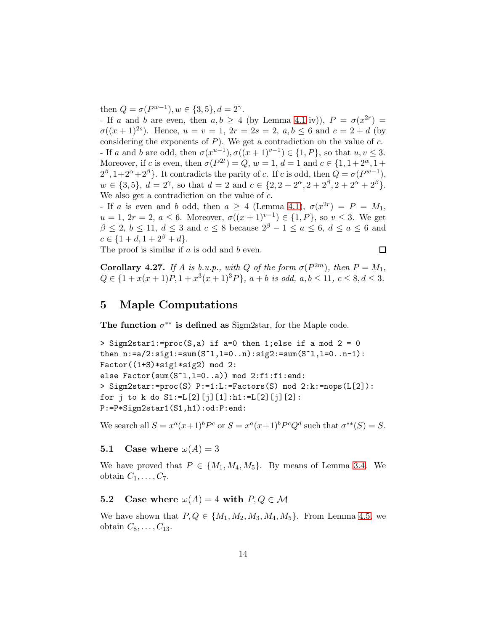then  $Q = \sigma(P^{w-1}), w \in \{3, 5\}, d = 2^{\gamma}.$ 

- If a and b are even, then  $a, b \ge 4$  (by Lemma [4.1-](#page-6-1)iv)),  $P = \sigma(x^{2r}) =$  $\sigma((x+1)^{2s})$ . Hence,  $u = v = 1, 2r = 2s = 2, a, b \leq 6$  and  $c = 2 + d$  (by considering the exponents of  $P$ ). We get a contradiction on the value of  $c$ . - If a and b are odd, then  $\sigma(x^{u-1}), \sigma((x+1)^{v-1}) \in \{1, P\}$ , so that  $u, v \leq 3$ . Moreover, if c is even, then  $\sigma(P^{2t}) = Q$ ,  $w = 1$ ,  $d = 1$  and  $c \in \{1, 1 + 2^{\alpha}, 1 +$  $2^{\beta}, 1+2^{\alpha}+2^{\beta}$ . It contradicts the parity of c. If c is odd, then  $Q = \sigma(P^{w-1}),$  $w \in \{3, 5\}, d = 2^{\gamma}, \text{ so that } d = 2 \text{ and } c \in \{2, 2 + 2^{\alpha}, 2 + 2^{\beta}, 2 + 2^{\alpha} + 2^{\beta}\}.$ We also get a contradiction on the value of c.

- If a is even and b odd, then  $a \geq 4$  (Lemma [4.1\)](#page-6-1),  $\sigma(x^{2r}) = P = M_1$ ,  $u = 1, 2r = 2, a \leq 6$ . Moreover,  $\sigma((x+1)^{v-1}) \in \{1, P\}$ , so  $v \leq 3$ . We get  $\beta$  < 2, b ≤ 11, d ≤ 3 and c ≤ 8 because  $2^{\beta} - 1 \le a \le 6$ , d ≤ a ≤ 6 and  $c \in \{1+d, 1+2^{\beta}+d\}.$ 

The proof is similar if a is odd and b even.

 $\Box$ 

<span id="page-13-0"></span>**Corollary 4.27.** *If* A *is b.u.p., with* Q *of the form*  $\sigma(P^{2m})$ *, then*  $P = M_1$ *,*  $Q \in \{1 + x(x+1)P, 1 + x^3(x+1)^3P\}, a+b \text{ is odd}, a, b \le 11, c \le 8, d \le 3.$ 

# <span id="page-13-1"></span>5 Maple Computations

The function  $\sigma^{**}$  is defined as Sigm2star, for the Maple code.

```
> Sigm2star1:=proc(S,a) if a=0 then 1;else if a mod 2 = 0then n:=a/2:sig1:=sum(S^1, l=0..n):sig2:=sum(S^1, l=0..n-1):Factor((1+S)*sig1*sig2) mod 2:
else Factor(sum(S<sup>^</sup>l,l=0..a)) mod 2:fi:fi:end:
> Sigm2star:=proc(S) P:=1:L:=Factors(S) mod 2:k:=nops(L[2]):
for j to k do S1 := L[2][j][1]:h1 := L[2][j][2]:
P:=P*Sigm2star1(S1,h1):od:P:end:
```
We search all  $S = x^a(x+1)^b P^c$  or  $S = x^a(x+1)^b P^c Q^d$  such that  $\sigma^{**}(S) = S$ .

### 5.1 Case where  $\omega(A) = 3$

We have proved that  $P \in \{M_1, M_4, M_5\}$ . By means of Lemma [3.4.](#page-5-0) We obtain  $C_1, \ldots, C_7$ .

## 5.2 Case where  $\omega(A) = 4$  with  $P, Q \in \mathcal{M}$

We have shown that  $P, Q \in \{M_1, M_2, M_3, M_4, M_5\}$ . From Lemma [4.5,](#page-7-1) we obtain  $C_8, \ldots, C_{13}$ .